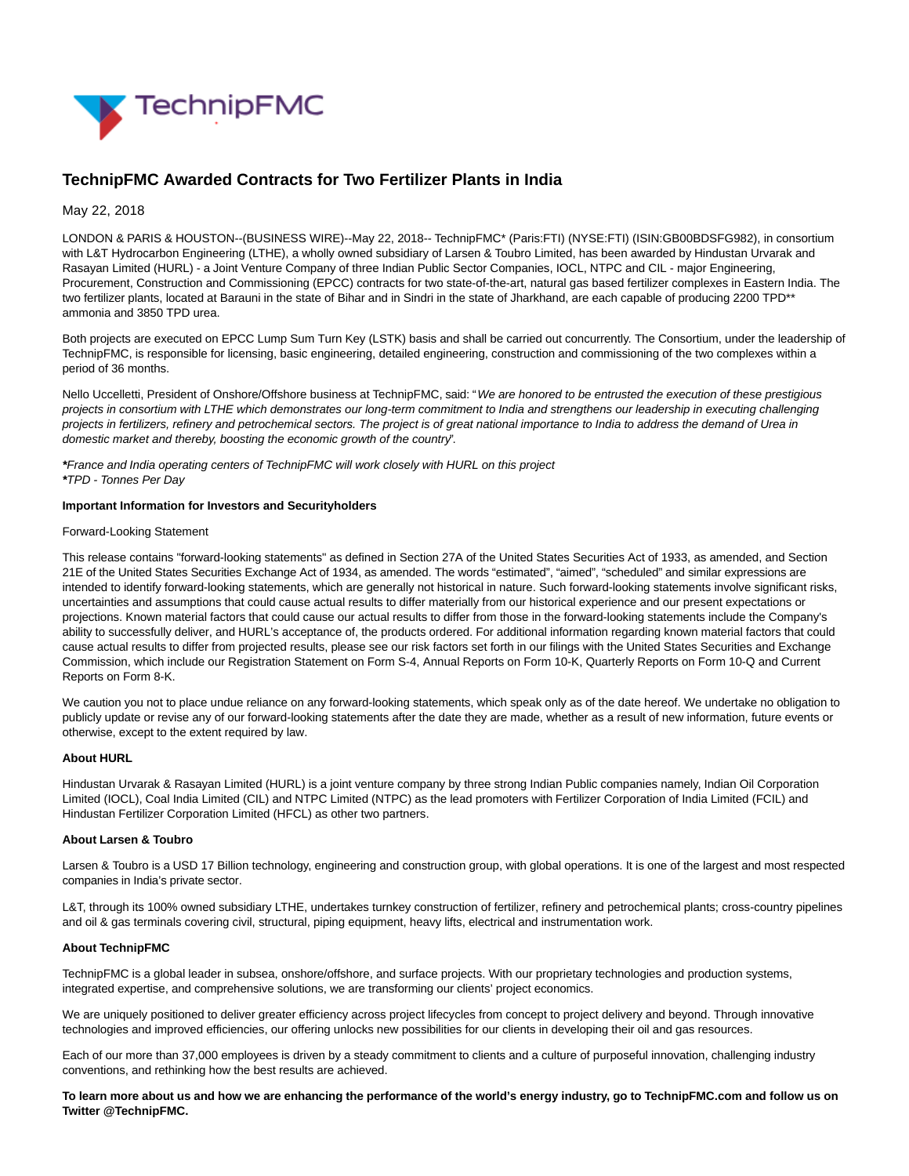

# **TechnipFMC Awarded Contracts for Two Fertilizer Plants in India**

## May 22, 2018

LONDON & PARIS & HOUSTON--(BUSINESS WIRE)--May 22, 2018-- TechnipFMC\* (Paris:FTI) (NYSE:FTI) (ISIN:GB00BDSFG982), in consortium with L&T Hydrocarbon Engineering (LTHE), a wholly owned subsidiary of Larsen & Toubro Limited, has been awarded by Hindustan Urvarak and Rasayan Limited (HURL) - a Joint Venture Company of three Indian Public Sector Companies, IOCL, NTPC and CIL - major Engineering, Procurement, Construction and Commissioning (EPCC) contracts for two state-of-the-art, natural gas based fertilizer complexes in Eastern India. The two fertilizer plants, located at Barauni in the state of Bihar and in Sindri in the state of Jharkhand, are each capable of producing 2200 TPD<sup>\*\*</sup> ammonia and 3850 TPD urea.

Both projects are executed on EPCC Lump Sum Turn Key (LSTK) basis and shall be carried out concurrently. The Consortium, under the leadership of TechnipFMC, is responsible for licensing, basic engineering, detailed engineering, construction and commissioning of the two complexes within a period of 36 months.

Nello Uccelletti, President of Onshore/Offshore business at TechnipFMC, said: "We are honored to be entrusted the execution of these prestigious projects in consortium with LTHE which demonstrates our long-term commitment to India and strengthens our leadership in executing challenging projects in fertilizers, refinery and petrochemical sectors. The project is of great national importance to India to address the demand of Urea in domestic market and thereby, boosting the economic growth of the country".

**\***France and India operating centers of TechnipFMC will work closely with HURL on this project **\***TPD - Tonnes Per Day

#### **Important Information for Investors and Securityholders**

#### Forward-Looking Statement

This release contains "forward-looking statements" as defined in Section 27A of the United States Securities Act of 1933, as amended, and Section 21E of the United States Securities Exchange Act of 1934, as amended. The words "estimated", "aimed", "scheduled" and similar expressions are intended to identify forward-looking statements, which are generally not historical in nature. Such forward-looking statements involve significant risks, uncertainties and assumptions that could cause actual results to differ materially from our historical experience and our present expectations or projections. Known material factors that could cause our actual results to differ from those in the forward-looking statements include the Company's ability to successfully deliver, and HURL's acceptance of, the products ordered. For additional information regarding known material factors that could cause actual results to differ from projected results, please see our risk factors set forth in our filings with the United States Securities and Exchange Commission, which include our Registration Statement on Form S-4, Annual Reports on Form 10-K, Quarterly Reports on Form 10-Q and Current Reports on Form 8-K.

We caution you not to place undue reliance on any forward-looking statements, which speak only as of the date hereof. We undertake no obligation to publicly update or revise any of our forward-looking statements after the date they are made, whether as a result of new information, future events or otherwise, except to the extent required by law.

### **About HURL**

Hindustan Urvarak & Rasayan Limited (HURL) is a joint venture company by three strong Indian Public companies namely, Indian Oil Corporation Limited (IOCL), Coal India Limited (CIL) and NTPC Limited (NTPC) as the lead promoters with Fertilizer Corporation of India Limited (FCIL) and Hindustan Fertilizer Corporation Limited (HFCL) as other two partners.

# **About Larsen & Toubro**

Larsen & Toubro is a USD 17 Billion technology, engineering and construction group, with global operations. It is one of the largest and most respected companies in India's private sector.

L&T, through its 100% owned subsidiary LTHE, undertakes turnkey construction of fertilizer, refinery and petrochemical plants; cross-country pipelines and oil & gas terminals covering civil, structural, piping equipment, heavy lifts, electrical and instrumentation work.

#### **About TechnipFMC**

TechnipFMC is a global leader in subsea, onshore/offshore, and surface projects. With our proprietary technologies and production systems, integrated expertise, and comprehensive solutions, we are transforming our clients' project economics.

We are uniquely positioned to deliver greater efficiency across project lifecycles from concept to project delivery and beyond. Through innovative technologies and improved efficiencies, our offering unlocks new possibilities for our clients in developing their oil and gas resources.

Each of our more than 37,000 employees is driven by a steady commitment to clients and a culture of purposeful innovation, challenging industry conventions, and rethinking how the best results are achieved.

**To learn more about us and how we are enhancing the performance of the world's energy industry, go to TechnipFMC.com and follow us on Twitter @TechnipFMC.**